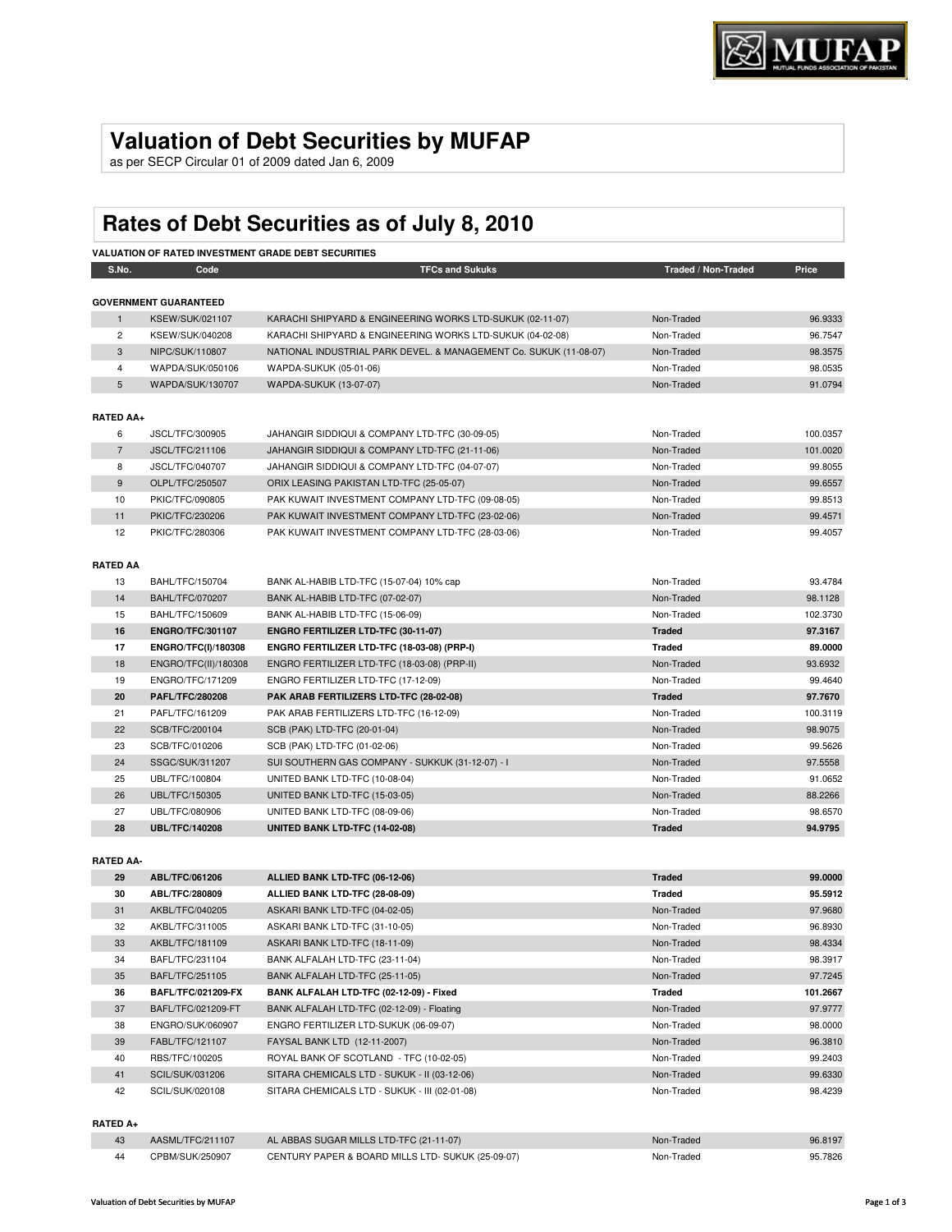## **Valuation of Debt Securities by MUFAP**

as per SECP Circular 01 of 2009 dated Jan 6, 2009

# **Rates of Debt Securities as of July 8, 2010**

| <b>VALUATION OF RATED INVESTMENT GRADE DEBT SECURITIES</b> |                  |                              |                                                                   |                     |          |  |
|------------------------------------------------------------|------------------|------------------------------|-------------------------------------------------------------------|---------------------|----------|--|
|                                                            | S.No.            | Code                         | <b>TFCs and Sukuks</b>                                            | Traded / Non-Traded | Price    |  |
|                                                            |                  |                              |                                                                   |                     |          |  |
|                                                            |                  | <b>GOVERNMENT GUARANTEED</b> |                                                                   |                     |          |  |
|                                                            | $\mathbf{1}$     | <b>KSEW/SUK/021107</b>       | KARACHI SHIPYARD & ENGINEERING WORKS LTD-SUKUK (02-11-07)         | Non-Traded          | 96.9333  |  |
|                                                            | $\overline{2}$   | KSEW/SUK/040208              | KARACHI SHIPYARD & ENGINEERING WORKS LTD-SUKUK (04-02-08)         | Non-Traded          | 96.7547  |  |
|                                                            | 3                | NIPC/SUK/110807              | NATIONAL INDUSTRIAL PARK DEVEL. & MANAGEMENT Co. SUKUK (11-08-07) | Non-Traded          | 98.3575  |  |
|                                                            | 4                | WAPDA/SUK/050106             | WAPDA-SUKUK (05-01-06)                                            | Non-Traded          | 98.0535  |  |
|                                                            | 5                | WAPDA/SUK/130707             | WAPDA-SUKUK (13-07-07)                                            | Non-Traded          | 91.0794  |  |
|                                                            | <b>RATED AA+</b> |                              |                                                                   |                     |          |  |
|                                                            | 6                | JSCL/TFC/300905              | JAHANGIR SIDDIQUI & COMPANY LTD-TFC (30-09-05)                    | Non-Traded          | 100.0357 |  |
|                                                            | $\overline{7}$   | JSCL/TFC/211106              | JAHANGIR SIDDIQUI & COMPANY LTD-TFC (21-11-06)                    | Non-Traded          | 101.0020 |  |
|                                                            | 8                | JSCL/TFC/040707              | JAHANGIR SIDDIQUI & COMPANY LTD-TFC (04-07-07)                    | Non-Traded          | 99.8055  |  |
|                                                            | 9                | OLPL/TFC/250507              | ORIX LEASING PAKISTAN LTD-TFC (25-05-07)                          | Non-Traded          | 99.6557  |  |
|                                                            | 10               | PKIC/TFC/090805              | PAK KUWAIT INVESTMENT COMPANY LTD-TFC (09-08-05)                  | Non-Traded          | 99.8513  |  |
|                                                            | 11               | PKIC/TFC/230206              | PAK KUWAIT INVESTMENT COMPANY LTD-TFC (23-02-06)                  | Non-Traded          | 99.4571  |  |
|                                                            | 12               | PKIC/TFC/280306              | PAK KUWAIT INVESTMENT COMPANY LTD-TFC (28-03-06)                  | Non-Traded          | 99.4057  |  |
|                                                            |                  |                              |                                                                   |                     |          |  |
|                                                            | <b>RATED AA</b>  |                              |                                                                   |                     |          |  |
|                                                            | 13               | BAHL/TFC/150704              | BANK AL-HABIB LTD-TFC (15-07-04) 10% cap                          | Non-Traded          | 93.4784  |  |
|                                                            | 14               | <b>BAHL/TFC/070207</b>       | BANK AL-HABIB LTD-TFC (07-02-07)                                  | Non-Traded          | 98.1128  |  |
|                                                            | 15               | BAHL/TFC/150609              | BANK AL-HABIB LTD-TFC (15-06-09)                                  | Non-Traded          | 102.3730 |  |
|                                                            | 16               | <b>ENGRO/TFC/301107</b>      | ENGRO FERTILIZER LTD-TFC (30-11-07)                               | <b>Traded</b>       | 97.3167  |  |
|                                                            | 17               | <b>ENGRO/TFC(I)/180308</b>   | ENGRO FERTILIZER LTD-TFC (18-03-08) (PRP-I)                       | <b>Traded</b>       | 89.0000  |  |
|                                                            | 18               | ENGRO/TFC(II)/180308         | ENGRO FERTILIZER LTD-TFC (18-03-08) (PRP-II)                      | Non-Traded          | 93.6932  |  |
|                                                            | 19               | ENGRO/TFC/171209             | ENGRO FERTILIZER LTD-TFC (17-12-09)                               | Non-Traded          | 99.4640  |  |
|                                                            | 20               | <b>PAFL/TFC/280208</b>       | PAK ARAB FERTILIZERS LTD-TFC (28-02-08)                           | <b>Traded</b>       | 97.7670  |  |
|                                                            | 21               | PAFL/TFC/161209              | PAK ARAB FERTILIZERS LTD-TFC (16-12-09)                           | Non-Traded          | 100.3119 |  |
|                                                            | 22               | SCB/TFC/200104               | SCB (PAK) LTD-TFC (20-01-04)                                      | Non-Traded          | 98.9075  |  |
|                                                            | 23               | SCB/TFC/010206               | SCB (PAK) LTD-TFC (01-02-06)                                      | Non-Traded          | 99.5626  |  |
|                                                            | 24               | SSGC/SUK/311207              | SUI SOUTHERN GAS COMPANY - SUKKUK (31-12-07) - I                  | Non-Traded          | 97.5558  |  |
|                                                            | 25               | UBL/TFC/100804               | UNITED BANK LTD-TFC (10-08-04)                                    | Non-Traded          | 91.0652  |  |
|                                                            | 26               | UBL/TFC/150305               | UNITED BANK LTD-TFC (15-03-05)                                    | Non-Traded          | 88.2266  |  |
|                                                            | 27               | UBL/TFC/080906               | UNITED BANK LTD-TFC (08-09-06)                                    | Non-Traded          | 98.6570  |  |
|                                                            | 28               | <b>UBL/TFC/140208</b>        | UNITED BANK LTD-TFC (14-02-08)                                    | <b>Traded</b>       | 94.9795  |  |
|                                                            | <b>RATED AA-</b> |                              |                                                                   |                     |          |  |
|                                                            | 29               | <b>ABL/TFC/061206</b>        | ALLIED BANK LTD-TFC (06-12-06)                                    | <b>Traded</b>       | 99.0000  |  |
|                                                            | 30               | ABL/TFC/280809               | ALLIED BANK LTD-TFC (28-08-09)                                    | <b>Traded</b>       | 95.5912  |  |
|                                                            | 31               | AKBL/TFC/040205              | ASKARI BANK LTD-TFC (04-02-05)                                    | Non-Traded          | 97.9680  |  |

| ა∪ | ADL/IFU/200009            | ALLIED DANN LID-IFU (20-00-09)                | rrageg        | 95.5914  |
|----|---------------------------|-----------------------------------------------|---------------|----------|
| 31 | AKBL/TFC/040205           | ASKARI BANK LTD-TFC (04-02-05)                | Non-Traded    | 97,9680  |
| 32 | AKBL/TFC/311005           | ASKARI BANK LTD-TFC (31-10-05)                | Non-Traded    | 96.8930  |
| 33 | AKBL/TFC/181109           | ASKARI BANK LTD-TFC (18-11-09)                | Non-Traded    | 98.4334  |
| 34 | BAFL/TFC/231104           | BANK ALFALAH LTD-TFC (23-11-04)               | Non-Traded    | 98.3917  |
| 35 | BAFL/TFC/251105           | BANK ALFALAH LTD-TFC (25-11-05)               | Non-Traded    | 97.7245  |
| 36 | <b>BAFL/TFC/021209-FX</b> | BANK ALFALAH LTD-TFC (02-12-09) - Fixed       | <b>Traded</b> | 101.2667 |
| 37 | BAFL/TFC/021209-FT        | BANK ALFALAH LTD-TFC (02-12-09) - Floating    | Non-Traded    | 97.9777  |
| 38 | ENGRO/SUK/060907          | ENGRO FERTILIZER LTD-SUKUK (06-09-07)         | Non-Traded    | 98.0000  |
| 39 | FABL/TFC/121107           | FAYSAL BANK LTD (12-11-2007)                  | Non-Traded    | 96.3810  |
| 40 | RBS/TFC/100205            | ROYAL BANK OF SCOTLAND - TFC (10-02-05)       | Non-Traded    | 99.2403  |
| 41 | SCIL/SUK/031206           | SITARA CHEMICALS LTD - SUKUK - II (03-12-06)  | Non-Traded    | 99.6330  |
| 42 | SCIL/SUK/020108           | SITARA CHEMICALS LTD - SUKUK - III (02-01-08) | Non-Traded    | 98.4239  |
|    |                           |                                               |               |          |

#### **RATED A+**

|     | AASML/TFC/211107 | AL ABBAS SUGAR MILLS LTD-TFC (21-11-07)           | Non-Traded | 96.8197 |
|-----|------------------|---------------------------------------------------|------------|---------|
| -44 | CPBM/SUK/250907  | CENTURY PAPER & BOARD MILLS LTD- SUKUK (25-09-07) | Non-Traded | 95.7826 |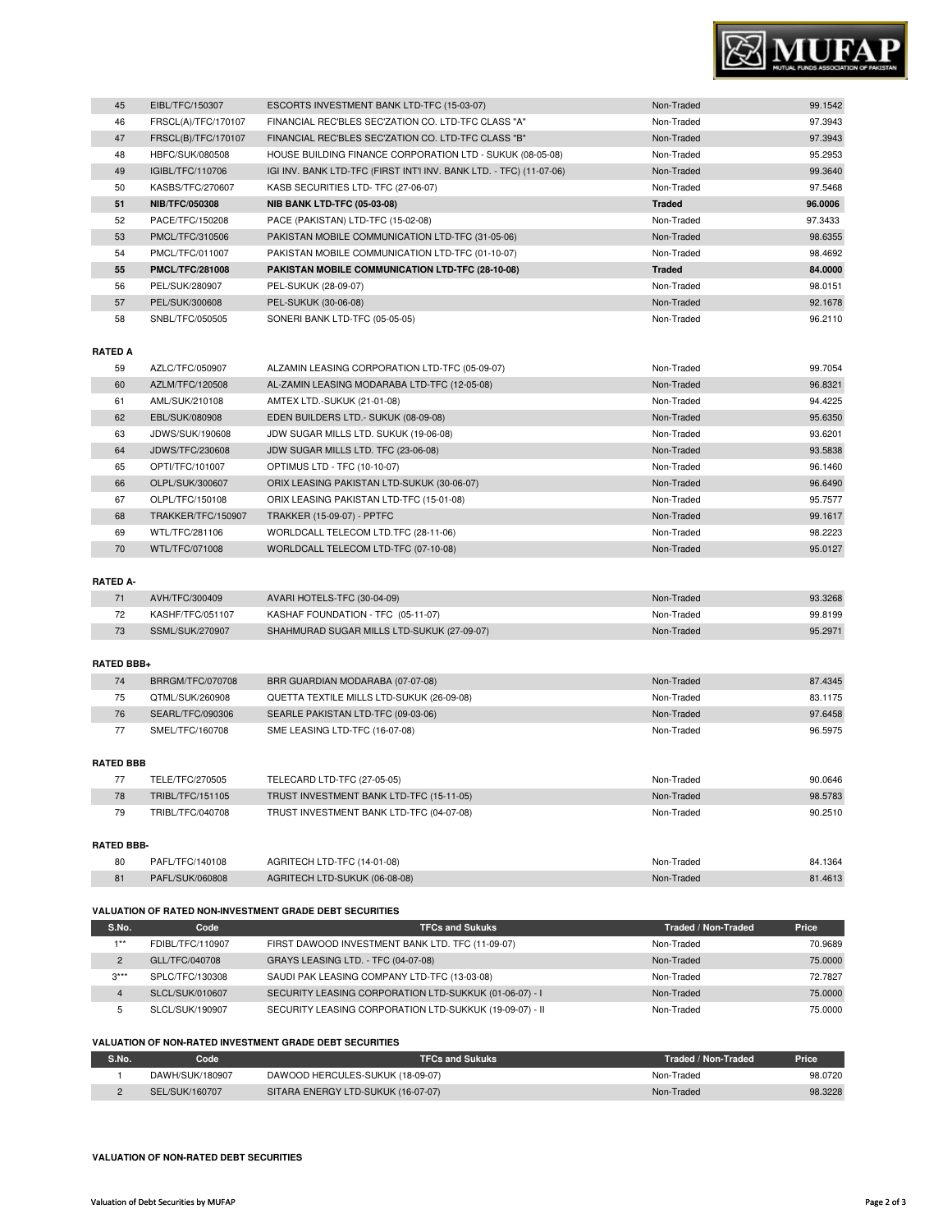

| 45 | EIBL/TFC/150307        | ESCORTS INVESTMENT BANK LTD-TFC (15-03-07)                          | Non-Traded    | 99.1542 |
|----|------------------------|---------------------------------------------------------------------|---------------|---------|
| 46 | FRSCL(A)/TFC/170107    | FINANCIAL REC'BLES SEC'ZATION CO. LTD-TFC CLASS "A"                 | Non-Traded    | 97.3943 |
| 47 | FRSCL(B)/TFC/170107    | FINANCIAL REC'BLES SEC'ZATION CO. LTD-TFC CLASS "B"                 | Non-Traded    | 97.3943 |
| 48 | HBFC/SUK/080508        | HOUSE BUILDING FINANCE CORPORATION LTD - SUKUK (08-05-08)           | Non-Traded    | 95.2953 |
| 49 | IGIBL/TFC/110706       | IGI INV. BANK LTD-TFC (FIRST INT'I INV. BANK LTD. - TFC) (11-07-06) | Non-Traded    | 99.3640 |
| 50 | KASBS/TFC/270607       | KASB SECURITIES LTD- TFC (27-06-07)                                 | Non-Traded    | 97.5468 |
| 51 | <b>NIB/TFC/050308</b>  | <b>NIB BANK LTD-TFC (05-03-08)</b>                                  | <b>Traded</b> | 96.0006 |
| 52 | PACE/TFC/150208        | PACE (PAKISTAN) LTD-TFC (15-02-08)                                  | Non-Traded    | 97.3433 |
| 53 | PMCL/TFC/310506        | PAKISTAN MOBILE COMMUNICATION LTD-TFC (31-05-06)                    | Non-Traded    | 98.6355 |
| 54 | PMCL/TFC/011007        | PAKISTAN MOBILE COMMUNICATION LTD-TFC (01-10-07)                    | Non-Traded    | 98.4692 |
| 55 | <b>PMCL/TFC/281008</b> | PAKISTAN MOBILE COMMUNICATION LTD-TFC (28-10-08)                    | <b>Traded</b> | 84.0000 |
| 56 | PEL/SUK/280907         | PEL-SUKUK (28-09-07)                                                | Non-Traded    | 98.0151 |
| 57 | PEL/SUK/300608         | PEL-SUKUK (30-06-08)                                                | Non-Traded    | 92.1678 |
| 58 | SNBL/TFC/050505        | SONERI BANK LTD-TFC (05-05-05)                                      | Non-Traded    | 96.2110 |
|    |                        |                                                                     |               |         |

#### **RATED A**

I

| 59 | AZLC/TFC/050907    | ALZAMIN LEASING CORPORATION LTD-TFC (05-09-07) | Non-Traded | 99.7054 |
|----|--------------------|------------------------------------------------|------------|---------|
| 60 | AZLM/TFC/120508    | AL-ZAMIN LEASING MODARABA LTD-TFC (12-05-08)   | Non-Traded | 96.8321 |
| 61 | AML/SUK/210108     | AMTEX LTD.-SUKUK (21-01-08)                    | Non-Traded | 94.4225 |
| 62 | EBL/SUK/080908     | EDEN BUILDERS LTD. - SUKUK (08-09-08)          | Non-Traded | 95.6350 |
| 63 | JDWS/SUK/190608    | JDW SUGAR MILLS LTD. SUKUK (19-06-08)          | Non-Traded | 93.6201 |
| 64 | JDWS/TFC/230608    | JDW SUGAR MILLS LTD. TFC (23-06-08)            | Non-Traded | 93.5838 |
| 65 | OPTI/TFC/101007    | OPTIMUS LTD - TFC (10-10-07)                   | Non-Traded | 96.1460 |
| 66 | OLPL/SUK/300607    | ORIX LEASING PAKISTAN LTD-SUKUK (30-06-07)     | Non-Traded | 96.6490 |
| 67 | OLPL/TFC/150108    | ORIX LEASING PAKISTAN LTD-TFC (15-01-08)       | Non-Traded | 95.7577 |
| 68 | TRAKKER/TFC/150907 | <b>TRAKKER (15-09-07) - PPTFC</b>              | Non-Traded | 99.1617 |
| 69 | WTL/TFC/281106     | WORLDCALL TELECOM LTD.TFC (28-11-06)           | Non-Traded | 98.2223 |
| 70 | WTL/TFC/071008     | WORLDCALL TELECOM LTD-TFC (07-10-08)           | Non-Traded | 95.0127 |

### **RATED A-**

| AVH/TFC/300409   | AVARI HOTELS-TFC (30-04-09)                | Non-Traded | 93.3268 |
|------------------|--------------------------------------------|------------|---------|
| KASHF/TFC/051107 | KASHAF FOUNDATION - TFC (05-11-07)         | Non-Traded | 99.8199 |
| SSML/SUK/270907  | SHAHMURAD SUGAR MILLS LTD-SUKUK (27-09-07) | Non-Traded | 95.2971 |

#### **RATED BBB+**

| 74 | BRRGM/TFC/070708 | BRR GUARDIAN MODARABA (07-07-08)          | Non-Traded | 87.4345 |
|----|------------------|-------------------------------------------|------------|---------|
| 75 | QTML/SUK/260908  | QUETTA TEXTILE MILLS LTD-SUKUK (26-09-08) | Non-Traded | 83.1175 |
| 76 | SEARL/TFC/090306 | SEARLE PAKISTAN LTD-TFC (09-03-06)        | Non-Traded | 97.6458 |
| 77 | SMEL/TFC/160708  | SME LEASING LTD-TFC (16-07-08)            | Non-Traded | 96.5975 |

#### **RATED BBB**

|                   | TELE/TFC/270505  | TELECARD LTD-TFC (27-05-05)              | Non-Traded | 90.0646 |  |  |
|-------------------|------------------|------------------------------------------|------------|---------|--|--|
| 78                | TRIBL/TFC/151105 | TRUST INVESTMENT BANK LTD-TFC (15-11-05) | Non-Traded | 98,5783 |  |  |
| 79                | TRIBL/TFC/040708 | TRUST INVESTMENT BANK LTD-TFC (04-07-08) | Non-Traded | 90.2510 |  |  |
|                   |                  |                                          |            |         |  |  |
| <b>RATED BBB-</b> |                  |                                          |            |         |  |  |

| 80 | PAFL/TFC/140108 | AGRITECH LTD-TFC (14-01-08)   | Traded<br>Non-i | 84.1364 |
|----|-----------------|-------------------------------|-----------------|---------|
| 81 | PAFL/SUK/060808 | AGRITECH LTD-SUKUK (06-08-08) | Non-Traded      | 1.461   |

#### **VALUATION OF RATED NON-INVESTMENT GRADE DEBT SECURITIES**

| S.No.          | Code             | <b>TFCs and Sukuks</b>                                  | Traded / Non-Traded | Price   |
|----------------|------------------|---------------------------------------------------------|---------------------|---------|
| $4 * *$        | FDIBL/TFC/110907 | FIRST DAWOOD INVESTMENT BANK LTD. TFC (11-09-07)        | Non-Traded          | 70.9689 |
| $\overline{2}$ | GLL/TFC/040708   | GRAYS LEASING LTD. - TFC (04-07-08)                     | Non-Traded          | 75,0000 |
| $3***$         | SPLC/TFC/130308  | SAUDI PAK LEASING COMPANY LTD-TFC (13-03-08)            | Non-Traded          | 72.7827 |
| $\overline{4}$ | SLCL/SUK/010607  | SECURITY LEASING CORPORATION LTD-SUKKUK (01-06-07) - I  | Non-Traded          | 75,0000 |
| .b             | SLCL/SUK/190907  | SECURITY LEASING CORPORATION LTD-SUKKUK (19-09-07) - II | Non-Traded          | 75,0000 |

#### **VALUATION OF NON-RATED INVESTMENT GRADE DEBT SECURITIES**

| S.No. | Code            | <b>TFCs and Sukuks</b>             | Traded / Non-Traded | Price   |
|-------|-----------------|------------------------------------|---------------------|---------|
|       | DAWH/SUK/180907 | DAWOOD HERCULES-SUKUK (18-09-07)   | Non-Traded          | 98.0720 |
|       | SEL/SUK/160707  | SITARA ENERGY LTD-SUKUK (16-07-07) | Non-Traded          | 98.3228 |